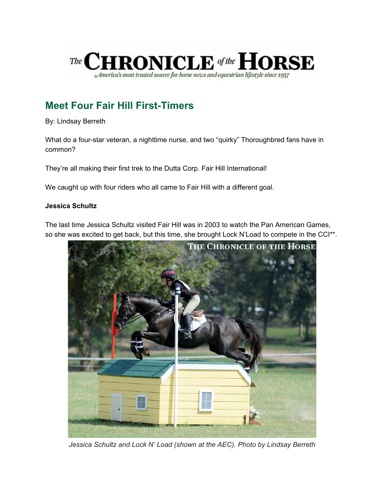

# **Meet Four Fair Hill First-Timers**

By: Lindsay Berreth

What do a four-star veteran, a nighttime nurse, and two "quirky" Thoroughbred fans have in common?

They're all making their first trek to the Dutta Corp. Fair Hill International!

We caught up with four riders who all came to Fair Hill with a different goal.

# **Jessica Schultz**

The last time Jessica Schultz visited Fair Hill was in 2003 to watch the Pan American Games, so she was excited to get back, but this time, she brought Lock N'Load to compete in the CCI<sup>\*\*</sup>.



*Jessica Schultz and Lock N' Load (shown at the AEC). Photo by Lindsay Berreth*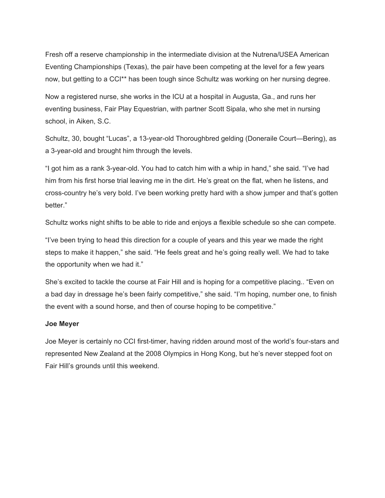Fresh off a reserve championship in the intermediate division at the Nutrena/USEA American Eventing Championships (Texas), the pair have been competing at the level for a few years now, but getting to a CCI\*\* has been tough since Schultz was working on her nursing degree.

Now a registered nurse, she works in the ICU at a hospital in Augusta, Ga., and runs her eventing business, Fair Play Equestrian, with partner Scott Sipala, who she met in nursing school, in Aiken, S.C.

Schultz, 30, bought "Lucas", a 13-year-old Thoroughbred gelding (Doneraile Court—Bering), as a 3-year-old and brought him through the levels.

"I got him as a rank 3-year-old. You had to catch him with a whip in hand," she said. "I've had him from his first horse trial leaving me in the dirt. He's great on the flat, when he listens, and cross-country he's very bold. I've been working pretty hard with a show jumper and that's gotten better."

Schultz works night shifts to be able to ride and enjoys a flexible schedule so she can compete.

"I've been trying to head this direction for a couple of years and this year we made the right steps to make it happen," she said. "He feels great and he's going really well. We had to take the opportunity when we had it."

She's excited to tackle the course at Fair Hill and is hoping for a competitive placing.. "Even on a bad day in dressage he's been fairly competitive," she said. "I'm hoping, number one, to finish the event with a sound horse, and then of course hoping to be competitive."

### **Joe Meyer**

Joe Meyer is certainly no CCI first-timer, having ridden around most of the world's four-stars and represented New Zealand at the 2008 Olympics in Hong Kong, but he's never stepped foot on Fair Hill's grounds until this weekend.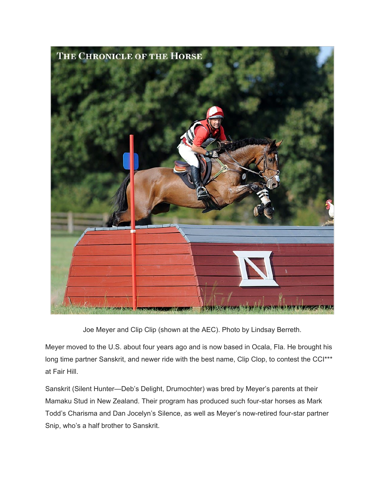

Joe Meyer and Clip Clip (shown at the AEC). Photo by Lindsay Berreth.

Meyer moved to the U.S. about four years ago and is now based in Ocala, Fla. He brought his long time partner Sanskrit, and newer ride with the best name, Clip Clop, to contest the CCI\*\*\* at Fair Hill.

Sanskrit (Silent Hunter—Deb's Delight, Drumochter) was bred by Meyer's parents at their Mamaku Stud in New Zealand. Their program has produced such four-star horses as Mark Todd's Charisma and Dan Jocelyn's Silence, as well as Meyer's now-retired four-star partner Snip, who's a half brother to Sanskrit.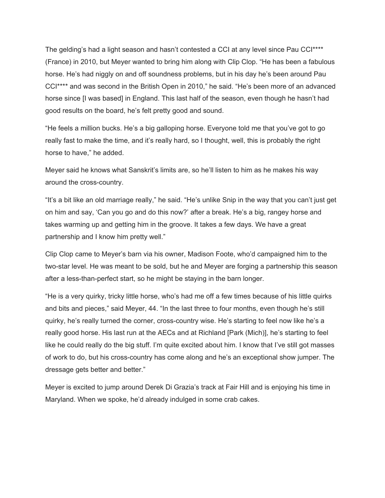The gelding's had a light season and hasn't contested a CCI at any level since Pau CCI\*\*\*\* (France) in 2010, but Meyer wanted to bring him along with Clip Clop. "He has been a fabulous horse. He's had niggly on and off soundness problems, but in his day he's been around Pau CCI\*\*\*\* and was second in the British Open in 2010," he said. "He's been more of an advanced horse since [I was based] in England. This last half of the season, even though he hasn't had good results on the board, he's felt pretty good and sound.

"He feels a million bucks. He's a big galloping horse. Everyone told me that you've got to go really fast to make the time, and it's really hard, so I thought, well, this is probably the right horse to have," he added.

Meyer said he knows what Sanskrit's limits are, so he'll listen to him as he makes his way around the cross-country.

"It's a bit like an old marriage really," he said. "He's unlike Snip in the way that you can't just get on him and say, 'Can you go and do this now?' after a break. He's a big, rangey horse and takes warming up and getting him in the groove. It takes a few days. We have a great partnership and I know him pretty well."

Clip Clop came to Meyer's barn via his owner, Madison Foote, who'd campaigned him to the two-star level. He was meant to be sold, but he and Meyer are forging a partnership this season after a less-than-perfect start, so he might be staying in the barn longer.

"He is a very quirky, tricky little horse, who's had me off a few times because of his little quirks and bits and pieces," said Meyer, 44. "In the last three to four months, even though he's still quirky, he's really turned the corner, cross-country wise. He's starting to feel now like he's a really good horse. His last run at the AECs and at Richland [Park (Mich)], he's starting to feel like he could really do the big stuff. I'm quite excited about him. I know that I've still got masses of work to do, but his cross-country has come along and he's an exceptional show jumper. The dressage gets better and better."

Meyer is excited to jump around Derek Di Grazia's track at Fair Hill and is enjoying his time in Maryland. When we spoke, he'd already indulged in some crab cakes.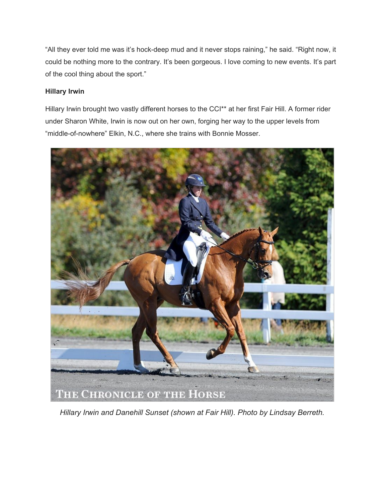"All they ever told me was it's hock-deep mud and it never stops raining," he said. "Right now, it could be nothing more to the contrary. It's been gorgeous. I love coming to new events. It's part of the cool thing about the sport."

# **Hillary Irwin**

Hillary Irwin brought two vastly different horses to the CCI\*\* at her first Fair Hill. A former rider under Sharon White, Irwin is now out on her own, forging her way to the upper levels from "middle-of-nowhere" Elkin, N.C., where she trains with Bonnie Mosser.



*Hillary Irwin and Danehill Sunset (shown at Fair Hill). Photo by Lindsay Berreth.*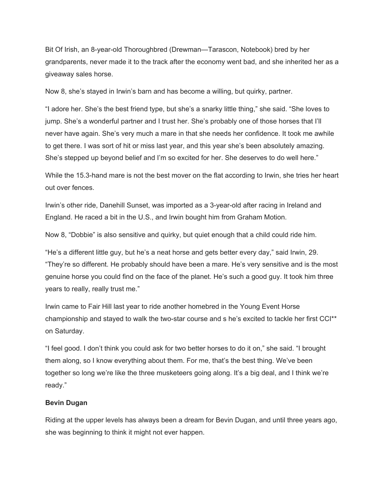Bit Of Irish, an 8-year-old Thoroughbred (Drewman—Tarascon, Notebook) bred by her grandparents, never made it to the track after the economy went bad, and she inherited her as a giveaway sales horse.

Now 8, she's stayed in Irwin's barn and has become a willing, but quirky, partner.

"I adore her. She's the best friend type, but she's a snarky little thing," she said. "She loves to jump. She's a wonderful partner and I trust her. She's probably one of those horses that I'll never have again. She's very much a mare in that she needs her confidence. It took me awhile to get there. I was sort of hit or miss last year, and this year she's been absolutely amazing. She's stepped up beyond belief and I'm so excited for her. She deserves to do well here."

While the 15.3-hand mare is not the best mover on the flat according to Irwin, she tries her heart out over fences.

Irwin's other ride, Danehill Sunset, was imported as a 3-year-old after racing in Ireland and England. He raced a bit in the U.S., and Irwin bought him from Graham Motion.

Now 8, "Dobbie" is also sensitive and quirky, but quiet enough that a child could ride him.

"He's a different little guy, but he's a neat horse and gets better every day," said Irwin, 29. "They're so different. He probably should have been a mare. He's very sensitive and is the most genuine horse you could find on the face of the planet. He's such a good guy. It took him three years to really, really trust me."

Irwin came to Fair Hill last year to ride another homebred in the Young Event Horse championship and stayed to walk the two-star course and s he's excited to tackle her first CCI\*\* on Saturday.

"I feel good. I don't think you could ask for two better horses to do it on," she said. "I brought them along, so I know everything about them. For me, that's the best thing. We've been together so long we're like the three musketeers going along. It's a big deal, and I think we're ready."

### **Bevin Dugan**

Riding at the upper levels has always been a dream for Bevin Dugan, and until three years ago, she was beginning to think it might not ever happen.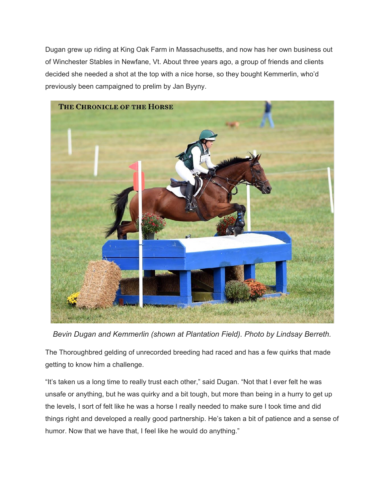Dugan grew up riding at King Oak Farm in Massachusetts, and now has her own business out of Winchester Stables in Newfane, Vt. About three years ago, a group of friends and clients decided she needed a shot at the top with a nice horse, so they bought Kemmerlin, who'd previously been campaigned to prelim by Jan Byyny.



*Bevin Dugan and Kemmerlin (shown at Plantation Field). Photo by Lindsay Berreth.*

The Thoroughbred gelding of unrecorded breeding had raced and has a few quirks that made getting to know him a challenge.

"It's taken us a long time to really trust each other," said Dugan. "Not that I ever felt he was unsafe or anything, but he was quirky and a bit tough, but more than being in a hurry to get up the levels, I sort of felt like he was a horse I really needed to make sure I took time and did things right and developed a really good partnership. He's taken a bit of patience and a sense of humor. Now that we have that, I feel like he would do anything."